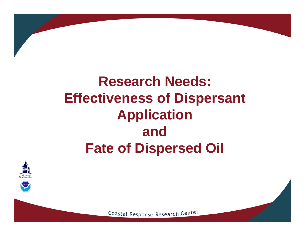# **Research Needs: Effectiveness of Dispersant Application andFate of Dispersed Oil**





Coastal Response Research Center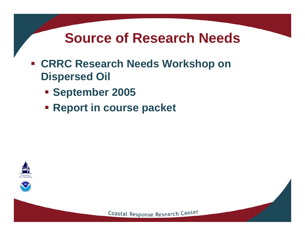### **Source of Research Needs**

- $\mathcal{L}_{\mathcal{A}}$  **CRRC Research Needs Workshop on Dispersed Oil**
	- **September 2005**
	- **Report in course packet**





Coastal Response Research Center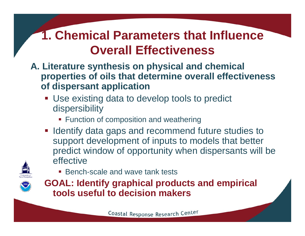#### **A. Literature synthesis on physical and chemical properties of oils that determine overall effectiveness of dispersant application**

- **Use existing data to develop tools to predict** dispersibility
	- **Function of composition and weathering**
- **If Identify data gaps and recommend future studies to** support development of inputs to models that better predict window of opportunity when dispersants will be effective



■ Bench-scale and wave tank tests

**GOAL: Identify graphical products and empirical tools useful to decision makers**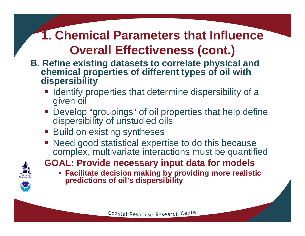- **B. Refine existing datasets to correlate physical and chemical properties of different types of oil with dispersibility**
	- **IDENTIFY FROM INTER IN A LIGANA** Interpreneural Henrify of a given oil
	- **Develop "groupings" of oil properties that help define** dispersibility of unstudied oils
	- **Build on existing syntheses**
	- **Need good statistical expertise to do this because** complex, multivariate interactions must be quantified



- **GOAL: Provide necessary input data for models**
	- **Facilitate decision making by providing more realistic predictions of oil's dispersibility**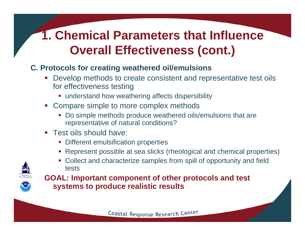#### **C. Protocols for creating weathered oil/emulsions**

- I. Develop methods to create consistent and representative test oils for effectiveness testing
	- **understand how weathering affects dispersibility**
- Compare simple to more complex methods
	- Do simple methods produce weathered oils/emulsions that are representative of natural conditions?
- Test oils should have:
	- **Different emulsification properties**
	- П Represent possible at sea slicks (rheological and chemical properties)





**GOAL: Important component of other protocols and test systems to produce realistic results**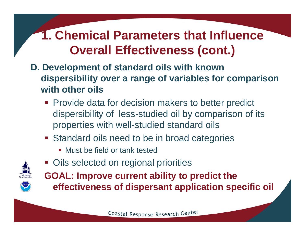- **D. Development of standard oils with known dispersibility over a range of variables for comparison with other oils**
	- **Provide data for decision makers to better predict** dispersibility of less-studied oil by comparison of its properties with well-studied standard oils
	- **Standard oils need to be in broad categories** 
		- Must be field or tank tested
	- **Oils selected on regional priorities**



**GOAL: Improve current ability to predict the effectiveness of dispersant application specific oil**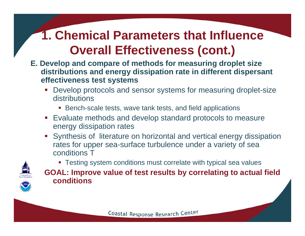- **E. Develop and compare of methods for measuring droplet size distributions and energy dissipation rate in different dispersant effectiveness test systems**
	- Develop protocols and sensor systems for measuring droplet-size distributions
		- Bench-scale tests, wave tank tests, and field applications
	- Evaluate methods and develop standard protocols to measure energy dissipation rates
	- Synthesis of literature on horizontal and vertical energy dissipation rates for upper sea-surface turbulence under a variety of sea conditions T



 Testing system conditions must correlate with typical sea values **GOAL: Improve value of test results by correlating to actual field conditions**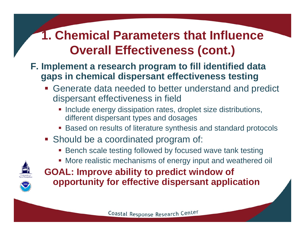#### **F. Implement a research program to fill identified data gaps in chemical dispersant effectiveness testing**

- Generate data needed to better understand and predict dispersant effectiveness in field
	- **Include energy dissipation rates, droplet size distributions,** different dispersant types and dosages
	- Based on results of literature synthesis and standard protocols
- **Should be a coordinated program of:** 
	- Bench scale testing followed by focused wave tank testing
	- More realistic mechanisms of energy input and weathered oil



**GOAL: Improve ability to predict window of opportunity for effective dispersant application**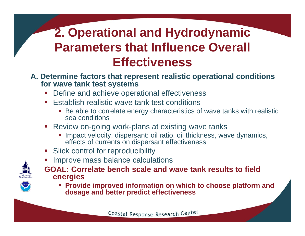#### **A. Determine factors that represent realistic operational conditions for wave tank test systems**

- k. Define and achieve operational effectiveness
- Establish realistic wave tank test conditions
	- $\mathcal{L}_{\mathcal{A}}$  Be able to correlate energy characteristics of wave tanks with realistic sea conditions
- Review on-going work-plans at existing wave tanks
	- **Impact velocity, dispersant: oil ratio, oil thickness, wave dynamics,** effects of currents on dispersant effectiveness
- **Slick control for reproducibility**
- **Improve mass balance calculations**



- **GOAL: Correlate bench scale and wave tank results to field energies**
	- **Provide improved information on which to choose platform and dosage and better predict effectiveness**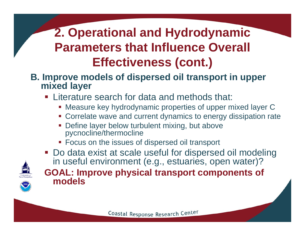#### **B. Improve models of dispersed oil transport in upper mixed layer**

- **Example 2** Literature search for data and methods that:
	- Measure key hydrodynamic properties of upper mixed layer C
	- Correlate wave and current dynamics to energy dissipation rate
	- I. Define layer below turbulent mixing, but above pycnocline/thermocline
	- **Focus on the issues of dispersed oil transport**



**models** 

**Do data exist at scale useful for dispersed oil modeling** in useful environment (e.g., estuaries, open water)? **GOAL: Improve physical transport components of**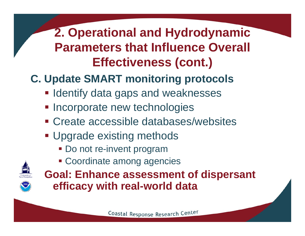## **C. Update SMART monitoring protocols**

- **Identify data gaps and weaknesses**
- **Incorporate new technologies**
- Create accessible databases/websites
- **Upgrade existing methods** 
	- **Do not re-invent program**
	- Coordinate among agencies



**Goal: Enhance assessment of dispersant efficacy with real-world data**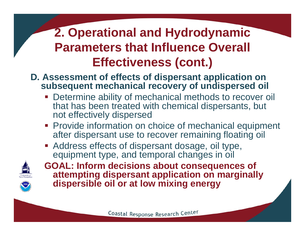- **D. Assessment of effects of dispersant application on subsequent mechanical recovery of undispersed oil**
	- **Determine ability of mechanical methods to recover oil** that has been treated with chemical dispersants, but not effectively dispersed
	- **Provide information on choice of mechanical equipment** after dispersant use to recover remaining floating oil
	- **Address effects of dispersant dosage, oil type,** equipment type, and temporal changes in oil



**GOAL: Inform decisions about consequences of attempting dispersant application on marginally dispersible oil or at low mixing energy**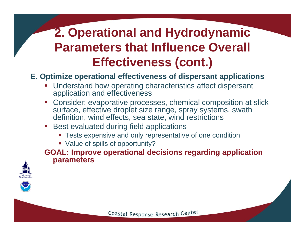#### **E. Optimize operational effectiveness of dispersant applications**

- **Understand how operating characteristics affect dispersant** application and effectiveness
- Consider: evaporative processes, chemical composition at slick surface, effective droplet size range, spray systems, swath definition, wind effects, sea state, wind restrictions
- **Best evaluated during field applications** 
	- **Tests expensive and only representative of one condition**
	- Value of spills of opportunity?

**GOAL: Improve operational decisions regarding application parameters**



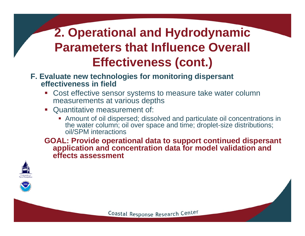#### **F. Evaluate new technologies for monitoring dispersant effectiveness in field**

- Cost effective sensor systems to measure take water column measurements at various depths
- Quantitative measurement of:
	- Amount of oil dispersed; dissolved and particulate oil concentrations in the water column; oil over space and time; droplet-size distributions; oil/SPM interactions

**GOAL: Provide operational data to support continued dispersant application and concentration data for model validation and effects assessment**



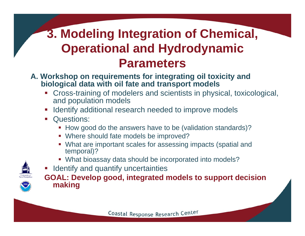### **3. Modeling Integration of Chemical, Operational and Hydrodynamic Parameters**

- **A. Workshop on requirements for integrating oil toxicity and biological data with oil fate and transport models**
	- Cross-training of modelers and scientists in physical, toxicological, and population models
	- **If Identify additional research needed to improve models**
	- **Questions:** 
		- **How good do the answers have to be (validation standards)?**
		- Where should fate models be improved?
		- What are important scales for assessing impacts (spatial and temporal)?
		- What bioassay data should be incorporated into models?
	- **If Identify and quantify uncertainties**

**GOAL: Develop good, integrated models to support decision making**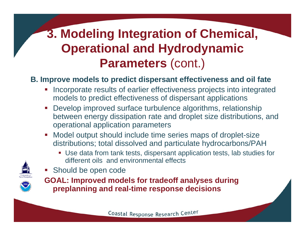### **3. Modeling Integration of Chemical, Operational and Hydrodynamic Parameters** (cont.)

#### **B. Improve models to predict dispersant effectiveness and oil fate**

- I. Incorporate results of earlier effectiveness projects into integrated models to predict effectiveness of dispersant applications
- Develop improved surface turbulence algorithms, relationship between energy dissipation rate and droplet size distributions, and operational application parameters
- Model output should include time series maps of droplet-size distributions; total dissolved and particulate hydrocarbons/PAH
	- Use data from tank tests, dispersant application tests, lab studies for different oils and environmental effects



**Should be open code** 



**GOAL: Improved models for tradeoff analyses during preplanning and real-time response decisions**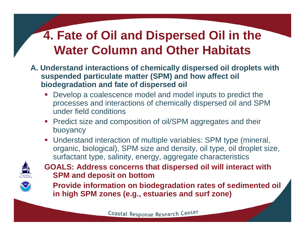- **A. Understand interactions of chemically dispersed oil droplets with suspended particulate matter (SPM) and how affect oil biodegradation and fate of dispersed oil** 
	- Develop a coalescence model and model inputs to predict the processes and interactions of chemically dispersed oil and SPM under field conditions
	- **Predict size and composition of oil/SPM aggregates and their** buoyancy
	- Understand interaction of multiple variables: SPM type (mineral, organic, biological), SPM size and density, oil type, oil droplet size, surfactant type, salinity, energy, aggregate characteristics



**GOALS: Address concerns that dispersed oil will interact with SPM and deposit on bottom**

17**Provide information on biodegradation rates of sedimented oil in high SPM zones (e.g., estuaries and surf zone)**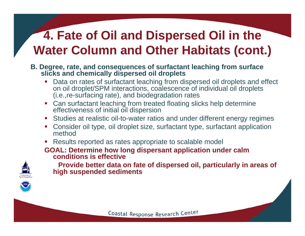#### **B. Degree, rate, and consequences of surfactant leaching from surface slicks and chemically dispersed oil droplets**

- Data on rates of surfactant leaching from dispersed oil droplets and effect on oil droplet/SPM interactions, coalescence of individual oil droplets (i.e.,re-surfacing rate), and biodegradation rates
- Can surfactant leaching from treated floating slicks help determine effectiveness of initial oil dispersion
- Studies at realistic oil-to-water ratios and under different energy regimes
- Consider oil type, oil droplet size, surfactant type, surfactant application method
- **Results reported as rates appropriate to scalable model**

#### **GOAL: Determine how long dispersant application under calm conditions is effective**



**Provide better data on fate of dispersed oil, particularly in areas of high suspended sediments**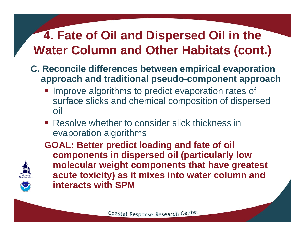- **C. Reconcile differences between empirical evaporation approach and traditional pseudo-component approach** 
	- **Improve algorithms to predict evaporation rates of** surface slicks and chemical composition of dispersed oil
	- Resolve whether to consider slick thickness in evaporation algorithms



**GOAL: Better predict loading and fate of oil components in dispersed oil (particularly low molecular weight components that have greatest acute toxicity) as it mixes into water column and interacts with SPM**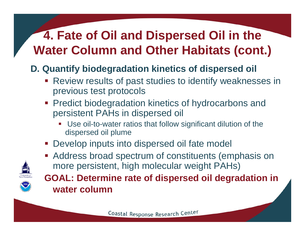#### **D. Quantify biodegradation kinetics of dispersed oil**

- **Review results of past studies to identify weaknesses in** previous test protocols
- **Predict biodegradation kinetics of hydrocarbons and** persistent PAHs in dispersed oil
	- $\Box$  Use oil-to-water ratios that follow significant dilution of the dispersed oil plume
- p. Develop inputs into dispersed oil fate model
- **Address broad spectrum of constituents (emphasis on** more persistent, high molecular weight PAHs)



**GOAL: Determine rate of dispersed oil degradation in water column**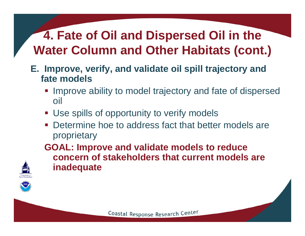- **E. Improve, verify, and validate oil spill trajectory and fate models**
	- **Improve ability to model trajectory and fate of dispersed** oil
	- **Use spills of opportunity to verify models**
	- **Determine hoe to address fact that better models are** proprietary

**GOAL: Improve and validate models to reduce concern of stakeholders that current models are inadequate** 



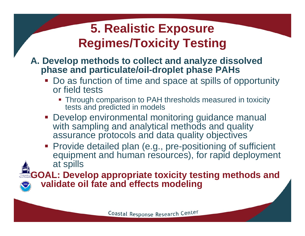#### **5. Realistic Exposure Regimes/Toxicity Testing**

#### **A. Develop methods to collect and analyze dissolved phase and particulate/oil-droplet phase PAHs**

- Do as function of time and space at spills of opportunity or field tests
	- Through comparison to PAH thresholds measured in toxicity tests and predicted in models
- **Develop environmental monitoring guidance manual** with sampling and analytical methods and quality assurance protocols and data quality objectives
- **Provide detailed plan (e.g., pre-positioning of sufficient** equipment and human resources), for rapid deployment at spills

**GOAL: Develop appropriate toxicity testing methods and validate oil fate and effects modeling**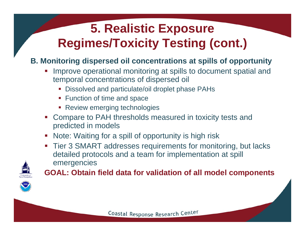# **5. Realistic Exposure Regimes/Toxicity Testing (cont.)**

#### **B. Monitoring dispersed oil concentrations at spills of opportunity**

- I. Improve operational monitoring at spills to document spatial and temporal concentrations of dispersed oil
	- Dissolved and particulate/oil droplet phase PAHs
	- **Function of time and space**
	- **Review emerging technologies**
- **Compare to PAH thresholds measured in toxicity tests and** predicted in models
- **Note: Waiting for a spill of opportunity is high risk**
- Tier 3 SMART addresses requirements for monitoring, but lacks detailed protocols and a team for implementation at spill emergencies



**GOAL: Obtain field data for validation of all model components**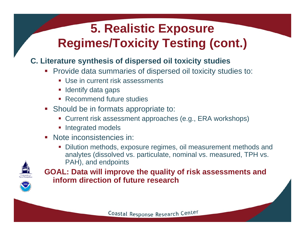# **5. Realistic Exposure Regimes/Toxicity Testing (cont.)**

#### **C. Literature synthesis of dispersed oil toxicity studies**

- **Provide data summaries of dispersed oil toxicity studies to:** 
	- **Use in current risk assessments**
	- **I** Identify data gaps
	- **Recommend future studies**
- **Should be in formats appropriate to:** 
	- Current risk assessment approaches (e.g., ERA workshops)
	- **Integrated models**
- Note inconsistencies in:
	- Dilution methods, exposure regimes, oil measurement methods and analytes (dissolved vs. particulate, nominal vs. measured, TPH vs. PAH), and endpoints



**GOAL: Data will improve the quality of risk assessments and inform direction of future research**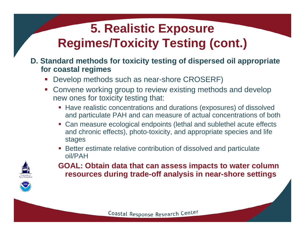# **5. Realistic Exposure Regimes/Toxicity Testing (cont.)**

#### **D. Standard methods for toxicity testing of dispersed oil appropriate for coastal regimes**

- Develop methods such as near-shore CROSERF)
- **Convene working group to review existing methods and develop** new ones for toxicity testing that:
	- **Have realistic concentrations and durations (exposures) of dissolved** and particulate PAH and can measure of actual concentrations of both
	- $\mathcal{L}_{\mathcal{A}}$  Can measure ecological endpoints (lethal and sublethel acute effects and chronic effects), photo-toxicity, and appropriate species and life stages
	- **Better estimate relative contribution of dissolved and particulate** oil/PAH



**GOAL: Obtain data that can assess impacts to water column resources during trade-off analysis in near-shore settings**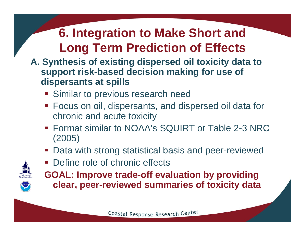- **A. Synthesis of existing dispersed oil toxicity data to support risk-based decision making for use of dispersants at spills** 
	- **Similar to previous research need**
	- Focus on oil, dispersants, and dispersed oil data for chronic and acute toxicity
	- Format similar to NOAA's SQUIRT or Table 2-3 NRC (2005)
	- **Data with strong statistical basis and peer-reviewed**
	- **Define role of chronic effects**



**GOAL: Improve trade-off evaluation by providing clear, peer-reviewed summaries of toxicity data**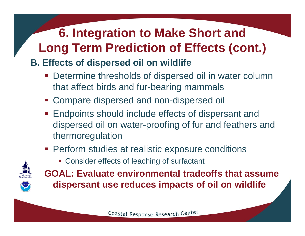#### **B. Effects of dispersed oil on wildlife**

- **Determine thresholds of dispersed oil in water column** that affect birds and fur-bearing mammals
- Compare dispersed and non-dispersed oil
- **Endpoints should include effects of dispersant and** dispersed oil on water-proofing of fur and feathers and thermoregulation
- **Perform studies at realistic exposure conditions** 
	- **Consider effects of leaching of surfactant**



**GOAL: Evaluate environmental tradeoffs that assume dispersant use reduces impacts of oil on wildlife**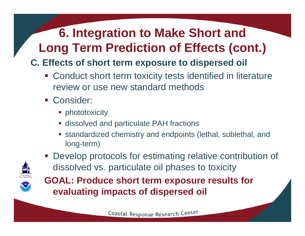#### **C. Effects of short term exposure to dispersed oil**

- **EX Conduct short term toxicity tests identified in literature** review or use new standard methods
- **Consider:** 
	- **•** phototoxicity
	- **Example 2 and particulate PAH fractions**
	- standardized chemistry and endpoints (lethal, sublethal, and long-term)

Develop protocols for estimating relative contribution of



dissolved vs. particulate oil phases to toxicity **GOAL: Produce short term exposure results for evaluating impacts of dispersed oil**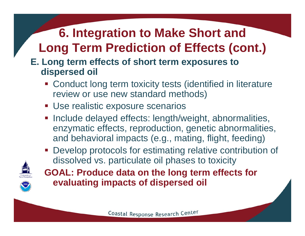#### **E. Long term effects of short term exposures to dispersed oil**

- **Example 2 Conduct long term toxicity tests (identified in literature** review or use new standard methods)
- **Use realistic exposure scenarios**
- **Include delayed effects: length/weight, abnormalities,** enzymatic effects, reproduction, genetic abnormalities, and behavioral impacts (e.g., mating, flight, feeding)
- **Develop protocols for estimating relative contribution of** dissolved vs. particulate oil phases to toxicity



**GOAL: Produce data on the long term effects for evaluating impacts of dispersed oil**